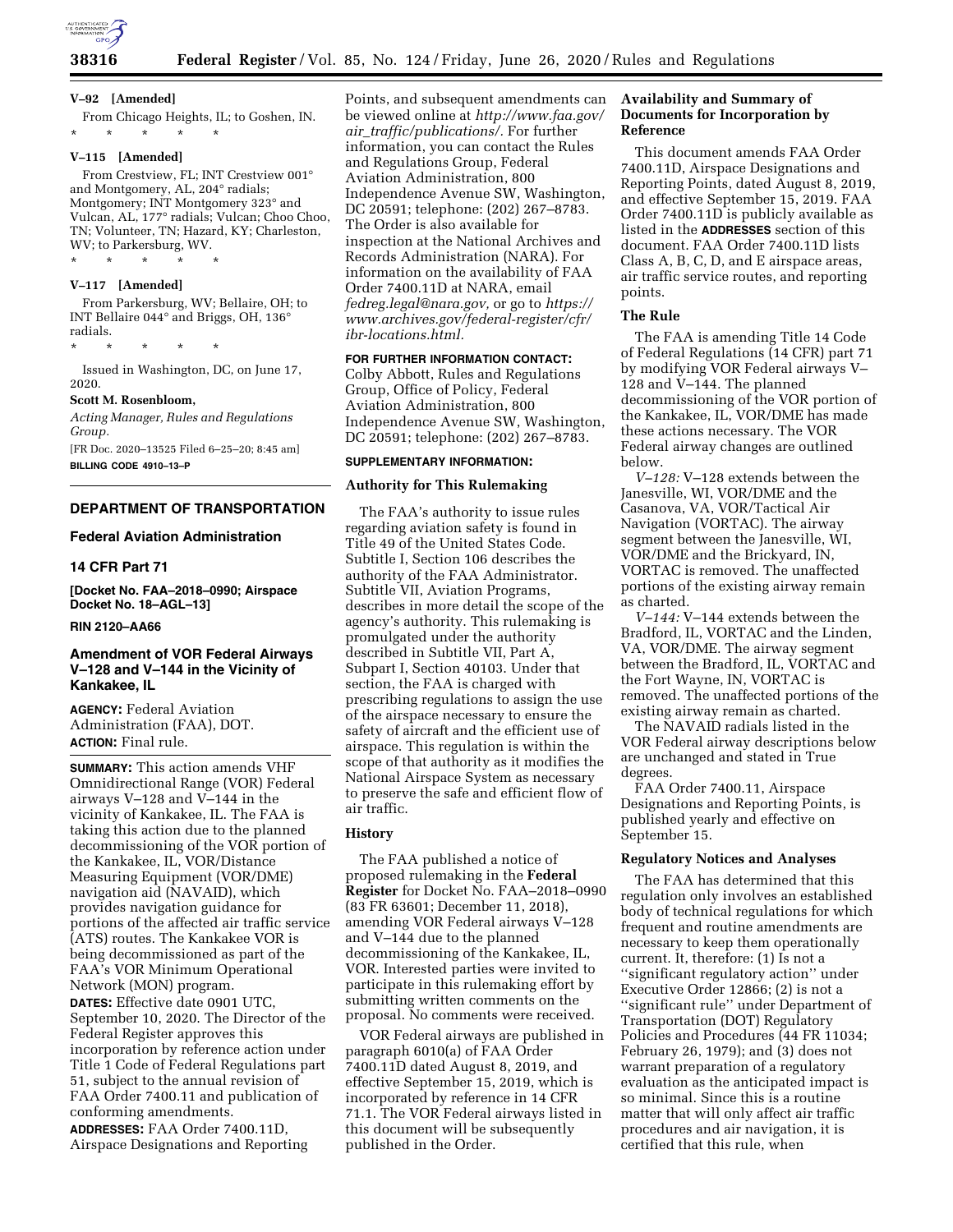

#### **V–92 [Amended]**

From Chicago Heights, IL; to Goshen, IN. \* \* \* \* \*

## **V–115 [Amended]**

From Crestview, FL; INT Crestview 001° and Montgomery, AL, 204° radials; Montgomery; INT Montgomery 323° and Vulcan, AL, 177° radials; Vulcan; Choo Choo, TN; Volunteer, TN; Hazard, KY; Charleston, WV; to Parkersburg, WV.

#### **V–117 [Amended]**

From Parkersburg, WV; Bellaire, OH; to INT Bellaire 044° and Briggs, OH, 136° radials.

\* \* \* \* \*

\* \* \* \* \*

Issued in Washington, DC, on June 17, 2020.

#### **Scott M. Rosenbloom,**

*Acting Manager, Rules and Regulations Group.*  [FR Doc. 2020–13525 Filed 6–25–20; 8:45 am]

**BILLING CODE 4910–13–P** 

#### **DEPARTMENT OF TRANSPORTATION**

### **Federal Aviation Administration**

## **14 CFR Part 71**

**[Docket No. FAA–2018–0990; Airspace Docket No. 18–AGL–13]** 

#### **RIN 2120–AA66**

## **Amendment of VOR Federal Airways V–128 and V–144 in the Vicinity of Kankakee, IL**

**AGENCY:** Federal Aviation Administration (FAA), DOT. **ACTION:** Final rule.

**SUMMARY:** This action amends VHF Omnidirectional Range (VOR) Federal airways V–128 and V–144 in the vicinity of Kankakee, IL. The FAA is taking this action due to the planned decommissioning of the VOR portion of the Kankakee, IL, VOR/Distance Measuring Equipment (VOR/DME) navigation aid (NAVAID), which provides navigation guidance for portions of the affected air traffic service (ATS) routes. The Kankakee VOR is being decommissioned as part of the FAA's VOR Minimum Operational Network (MON) program. **DATES:** Effective date 0901 UTC, September 10, 2020. The Director of the Federal Register approves this incorporation by reference action under Title 1 Code of Federal Regulations part

51, subject to the annual revision of FAA Order 7400.11 and publication of conforming amendments.

**ADDRESSES:** FAA Order 7400.11D, Airspace Designations and Reporting

Points, and subsequent amendments can be viewed online at *[http://www.faa.gov/](http://www.faa.gov/air_traffic/publications/) air*\_*[traffic/publications/.](http://www.faa.gov/air_traffic/publications/)* For further information, you can contact the Rules and Regulations Group, Federal Aviation Administration, 800 Independence Avenue SW, Washington, DC 20591; telephone: (202) 267–8783. The Order is also available for inspection at the National Archives and Records Administration (NARA). For information on the availability of FAA Order 7400.11D at NARA, email *[fedreg.legal@nara.gov,](mailto:fedreg.legal@nara.gov)* or go to *[https://](https://www.archives.gov/federal-register/cfr/ibr-locations.html) [www.archives.gov/federal-register/cfr/](https://www.archives.gov/federal-register/cfr/ibr-locations.html)  [ibr-locations.html.](https://www.archives.gov/federal-register/cfr/ibr-locations.html)* 

#### **FOR FURTHER INFORMATION CONTACT:**

Colby Abbott, Rules and Regulations Group, Office of Policy, Federal Aviation Administration, 800 Independence Avenue SW, Washington, DC 20591; telephone: (202) 267–8783.

## **SUPPLEMENTARY INFORMATION:**

## **Authority for This Rulemaking**

The FAA's authority to issue rules regarding aviation safety is found in Title 49 of the United States Code. Subtitle I, Section 106 describes the authority of the FAA Administrator. Subtitle VII, Aviation Programs, describes in more detail the scope of the agency's authority. This rulemaking is promulgated under the authority described in Subtitle VII, Part A, Subpart I, Section 40103. Under that section, the FAA is charged with prescribing regulations to assign the use of the airspace necessary to ensure the safety of aircraft and the efficient use of airspace. This regulation is within the scope of that authority as it modifies the National Airspace System as necessary to preserve the safe and efficient flow of air traffic.

#### **History**

The FAA published a notice of proposed rulemaking in the **Federal Register** for Docket No. FAA–2018–0990 (83 FR 63601; December 11, 2018), amending VOR Federal airways V–128 and V–144 due to the planned decommissioning of the Kankakee, IL, VOR. Interested parties were invited to participate in this rulemaking effort by submitting written comments on the proposal. No comments were received.

VOR Federal airways are published in paragraph 6010(a) of FAA Order 7400.11D dated August 8, 2019, and effective September 15, 2019, which is incorporated by reference in 14 CFR 71.1. The VOR Federal airways listed in this document will be subsequently published in the Order.

## **Availability and Summary of Documents for Incorporation by Reference**

This document amends FAA Order 7400.11D, Airspace Designations and Reporting Points, dated August 8, 2019, and effective September 15, 2019. FAA Order 7400.11D is publicly available as listed in the **ADDRESSES** section of this document. FAA Order 7400.11D lists Class A, B, C, D, and E airspace areas, air traffic service routes, and reporting points.

### **The Rule**

The FAA is amending Title 14 Code of Federal Regulations (14 CFR) part 71 by modifying VOR Federal airways V– 128 and V–144. The planned decommissioning of the VOR portion of the Kankakee, IL, VOR/DME has made these actions necessary. The VOR Federal airway changes are outlined below.

*V–128:* V–128 extends between the Janesville, WI, VOR/DME and the Casanova, VA, VOR/Tactical Air Navigation (VORTAC). The airway segment between the Janesville, WI, VOR/DME and the Brickyard, IN, VORTAC is removed. The unaffected portions of the existing airway remain as charted.

*V–144:* V–144 extends between the Bradford, IL, VORTAC and the Linden, VA, VOR/DME. The airway segment between the Bradford, IL, VORTAC and the Fort Wayne, IN, VORTAC is removed. The unaffected portions of the existing airway remain as charted.

The NAVAID radials listed in the VOR Federal airway descriptions below are unchanged and stated in True degrees.

FAA Order 7400.11, Airspace Designations and Reporting Points, is published yearly and effective on September 15.

## **Regulatory Notices and Analyses**

The FAA has determined that this regulation only involves an established body of technical regulations for which frequent and routine amendments are necessary to keep them operationally current. It, therefore: (1) Is not a ''significant regulatory action'' under Executive Order 12866; (2) is not a ''significant rule'' under Department of Transportation (DOT) Regulatory Policies and Procedures (44 FR 11034; February 26, 1979); and (3) does not warrant preparation of a regulatory evaluation as the anticipated impact is so minimal. Since this is a routine matter that will only affect air traffic procedures and air navigation, it is certified that this rule, when